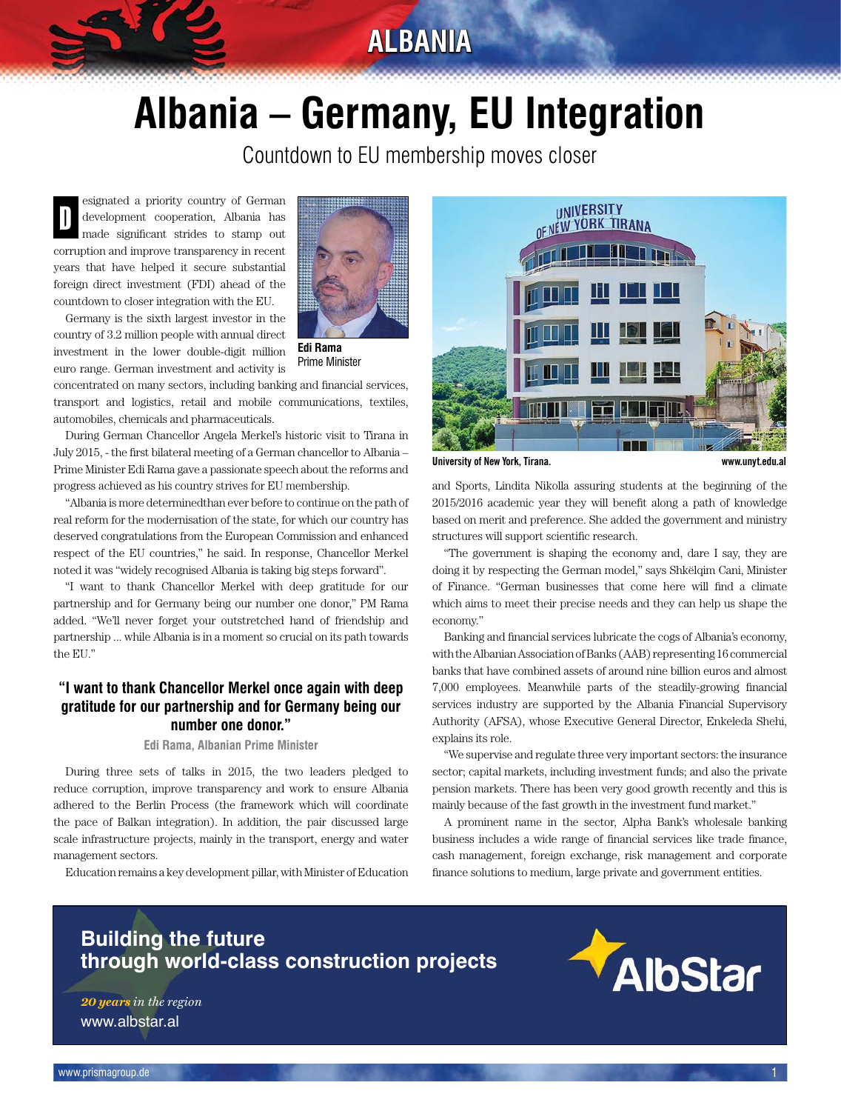# **ALBANIA**

# **Albania – Germany, EU Integration**

Countdown to EU membership moves closer

esignated a priority country of German development cooperation, Albania has made significant strides to stamp out corruption and improve transparency in recent years that have helped it secure substantial foreign direct investment (FDI) ahead of the countdown to closer integration with the EU. D

Germany is the sixth largest investor in the country of 3.2 million people with annual direct investment in the lower double-digit million euro range. German investment and activity is



**Edi Rama** Prime Minister

concentrated on many sectors, including banking and financial services, transport and logistics, retail and mobile communications, textiles, automobiles, chemicals and pharmaceuticals.

During German Chancellor Angela Merkel's historic visit to Tirana in July 2015, - the first bilateral meeting of a German chancellor to Albania – Prime Minister Edi Rama gave a passionate speech about the reforms and progress achieved as his country strives for EU membership.

"Albania is more determinedthan ever before to continue on the path of real reform for the modernisation of the state, for which our country has deserved congratulations from the European Commission and enhanced respect of the EU countries," he said. In response, Chancellor Merkel noted it was "widely recognised Albania is taking big steps forward".

"I want to thank Chancellor Merkel with deep gratitude for our partnership and for Germany being our number one donor," PM Rama added. "We'll never forget your outstretched hand of friendship and partnership ... while Albania is in a moment so crucial on its path towards the EU."

#### **"I want to thank Chancellor Merkel once again with deep gratitude for our partnership and for Germany being our number one donor."**

#### **Edi Rama, Albanian Prime Minister**

During three sets of talks in 2015, the two leaders pledged to reduce corruption, improve transparency and work to ensure Albania adhered to the Berlin Process (the framework which will coordinate the pace of Balkan integration). In addition, the pair discussed large scale infrastructure projects, mainly in the transport, energy and water management sectors.

Education remains a key development pillar, with Minister of Education



**University of New York, Tirana. www.unyt.edu.al**

and Sports, Lindita Nikolla assuring students at the beginning of the 2015/2016 academic year they will benefit along a path of knowledge based on merit and preference. She added the government and ministry structures will support scientific research.

"The government is shaping the economy and, dare I say, they are doing it by respecting the German model," says Shkëlqim Cani, Minister of Finance. "German businesses that come here will find a climate which aims to meet their precise needs and they can help us shape the economy."

Banking and financial services lubricate the cogs of Albania's economy, with the Albanian Association of Banks (AAB) representing 16 commercial banks that have combined assets of around nine billion euros and almost 7,000 employees. Meanwhile parts of the steadily-growing financial services industry are supported by the Albania Financial Supervisory Authority (AFSA), whose Executive General Director, Enkeleda Shehi, explains its role.

"We supervise and regulate three very important sectors: the insurance sector; capital markets, including investment funds; and also the private pension markets. There has been very good growth recently and this is mainly because of the fast growth in the investment fund market."

A prominent name in the sector, Alpha Bank's wholesale banking business includes a wide range of financial services like trade finance, cash management, foreign exchange, risk management and corporate finance solutions to medium, large private and government entities.

### **Building the future through world-class construction projects**

www.albstar.al *20 years in the region*

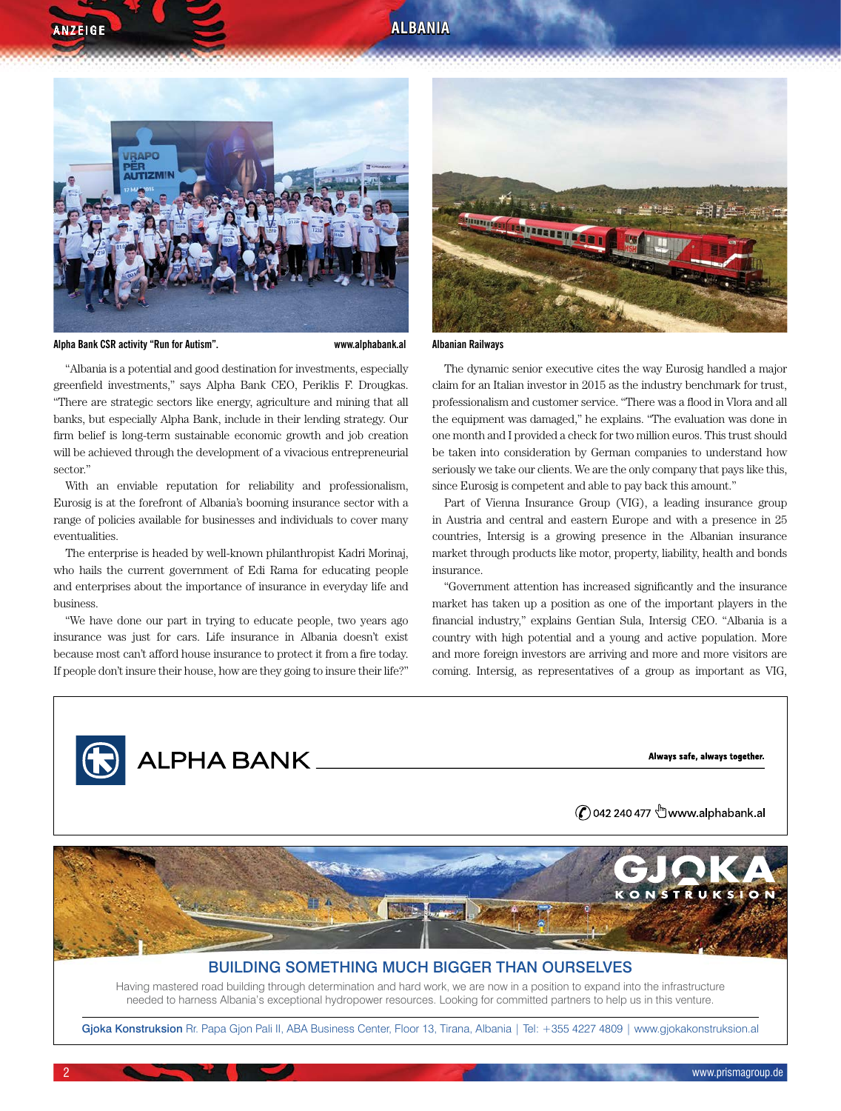#### **ALBANIA**



**Alpha Bank CSR activity "Run for Autism". www.alphabank.al**

**ANZEIGE** 

"Albania is a potential and good destination for investments, especially greenfield investments," says Alpha Bank CEO, Periklis F. Drougkas. "There are strategic sectors like energy, agriculture and mining that all banks, but especially Alpha Bank, include in their lending strategy. Our firm belief is long-term sustainable economic growth and job creation will be achieved through the development of a vivacious entrepreneurial sector'

With an enviable reputation for reliability and professionalism, Eurosig is at the forefront of Albania's booming insurance sector with a range of policies available for businesses and individuals to cover many eventualities.

The enterprise is headed by well-known philanthropist Kadri Morinaj, who hails the current government of Edi Rama for educating people and enterprises about the importance of insurance in everyday life and business.

"We have done our part in trying to educate people, two years ago insurance was just for cars. Life insurance in Albania doesn't exist because most can't afford house insurance to protect it from a fire today. If people don't insure their house, how are they going to insure their life?"



#### **Albanian Railways**

The dynamic senior executive cites the way Eurosig handled a major claim for an Italian investor in 2015 as the industry benchmark for trust, professionalism and customer service. "There was a flood in Vlora and all the equipment was damaged," he explains. "The evaluation was done in one month and I provided a check for two million euros. This trust should be taken into consideration by German companies to understand how seriously we take our clients. We are the only company that pays like this, since Eurosig is competent and able to pay back this amount."

Part of Vienna Insurance Group (VIG), a leading insurance group in Austria and central and eastern Europe and with a presence in 25 countries, Intersig is a growing presence in the Albanian insurance market through products like motor, property, liability, health and bonds insurance.

"Government attention has increased significantly and the insurance market has taken up a position as one of the important players in the financial industry," explains Gentian Sula, Intersig CEO. "Albania is a country with high potential and a young and active population. More and more foreign investors are arriving and more and more visitors are coming. Intersig, as representatives of a group as important as VIG,

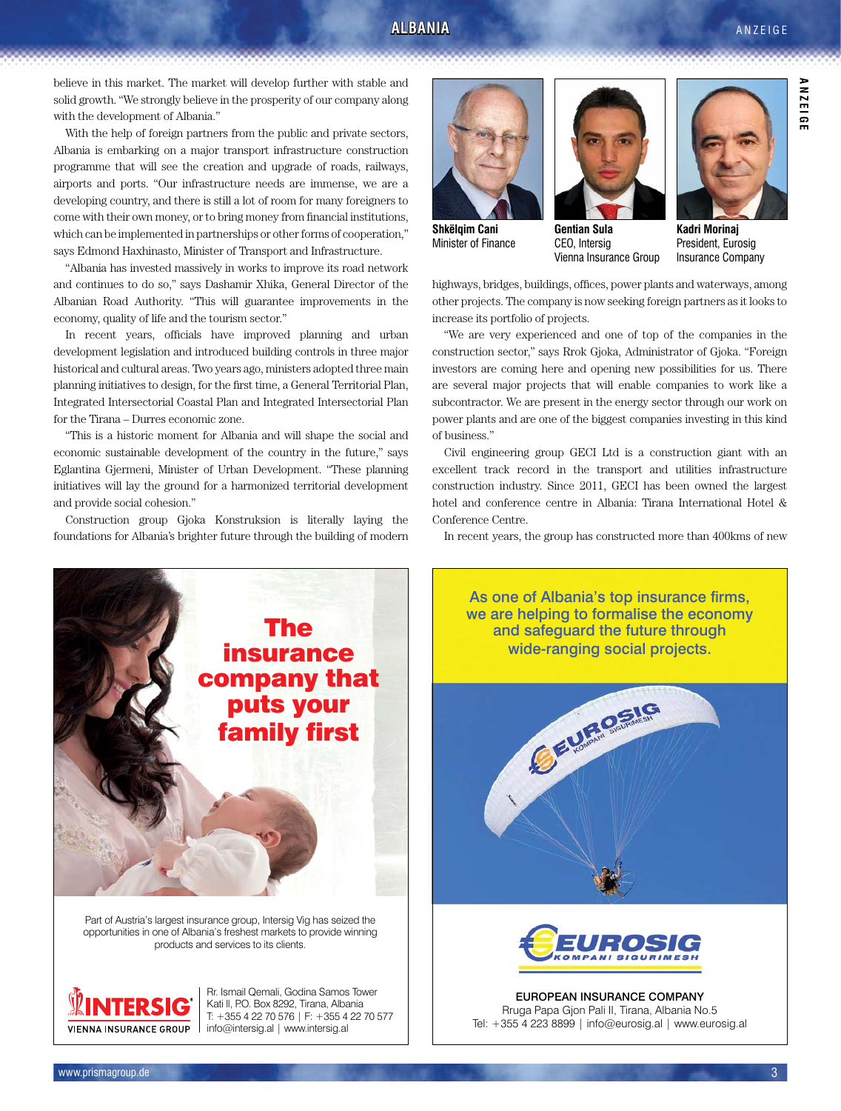#### **ALBANIA**

#### **ANZEIGE**

**ANZEIGE**

**ANZE1GE** 

believe in this market. The market will develop further with stable and solid growth. "We strongly believe in the prosperity of our company along with the development of Albania."

With the help of foreign partners from the public and private sectors, Albania is embarking on a major transport infrastructure construction programme that will see the creation and upgrade of roads, railways, airports and ports. "Our infrastructure needs are immense, we are a developing country, and there is still a lot of room for many foreigners to come with their own money, or to bring money from financial institutions, which can be implemented in partnerships or other forms of cooperation," says Edmond Haxhinasto, Minister of Transport and Infrastructure.

"Albania has invested massively in works to improve its road network and continues to do so," says Dashamir Xhika, General Director of the Albanian Road Authority. "This will guarantee improvements in the economy, quality of life and the tourism sector."

In recent years, officials have improved planning and urban development legislation and introduced building controls in three major historical and cultural areas. Two years ago, ministers adopted three main planning initiatives to design, for the first time, a General Territorial Plan, Integrated Intersectorial Coastal Plan and Integrated Intersectorial Plan for the Tirana – Durres economic zone.

"This is a historic moment for Albania and will shape the social and economic sustainable development of the country in the future," says Eglantina Gjermeni, Minister of Urban Development. "These planning initiatives will lay the ground for a harmonized territorial development and provide social cohesion."

Construction group Gjoka Konstruksion is literally laying the foundations for Albania's brighter future through the building of modern



Part of Austria's largest insurance group, Intersig Vig has seized the opportunities in one of Albania's freshest markets to provide winning products and services to its clients.



Rr. Ismail Qemali, Godina Samos Tower Kati II, P.O. Box 8292, Tirana, Albania T: +355 4 22 70 576 | F: +355 4 22 70 577 info@intersig.al | www.intersig.al



**Shkëlqim Cani** Minister of Finance



CEO, Intersig Vienna Insurance Group



**Kadri Morinaj** President, Eurosig Insurance Company

highways, bridges, buildings, offices, power plants and waterways, among other projects. The company is now seeking foreign partners as it looks to increase its portfolio of projects.

"We are very experienced and one of top of the companies in the construction sector," says Rrok Gjoka, Administrator of Gjoka. "Foreign investors are coming here and opening new possibilities for us. There are several major projects that will enable companies to work like a subcontractor. We are present in the energy sector through our work on power plants and are one of the biggest companies investing in this kind of business."

Civil engineering group GECI Ltd is a construction giant with an excellent track record in the transport and utilities infrastructure construction industry. Since 2011, GECI has been owned the largest hotel and conference centre in Albania: Tirana International Hotel & Conference Centre.

In recent years, the group has constructed more than 400kms of new



European Insurance Company Rruga Papa Gjon Pali II, Tirana, Albania No.5 Tel: +355 4 223 8899 | info@eurosig.al | www.eurosig.al